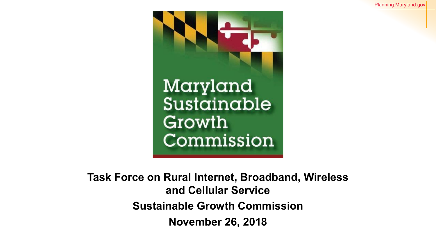

**Task Force on Rural Internet, Broadband, Wireless and Cellular Service Sustainable Growth Commission November 26, 2018**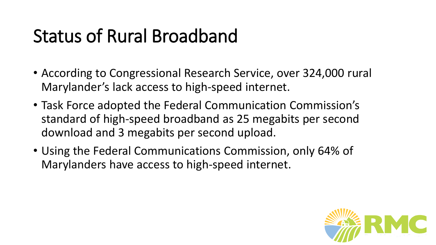## Status of Rural Broadband

- According to Congressional Research Service, over 324,000 rural Marylander's lack access to high-speed internet.
- Task Force adopted the Federal Communication Commission's standard of high-speed broadband as 25 megabits per second download and 3 megabits per second upload.
- Using the Federal Communications Commission, only 64% of Marylanders have access to high-speed internet.

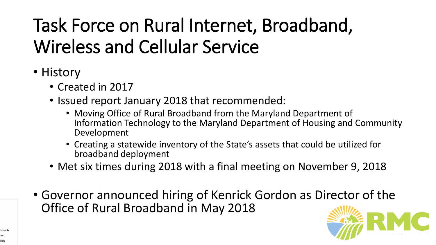# Task Force on Rural Internet, Broadband, Wireless and Cellular Service

- History
	- Created in 2017
	- Issued report January 2018 that recommended:
		- Moving Office of Rural Broadband from the Maryland Department of Information Technology to the Maryland Department of Housing and Community Development
		- Creating a statewide inventory of the State's assets that could be utilized for broadband deployment
	- Met six times during 2018 with a final meeting on November 9, 2018
- Governor announced hiring of Kenrick Gordon as Director of the Office of Rural Broadband in May 2018

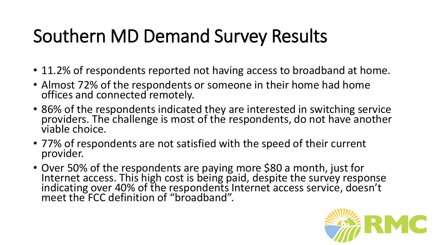## Southern MD Demand Survey Results

- 11.2% of respondents reported not having access to broadband at home.
- Almost 72% of the respondents or someone in their home had home offices and connected remotely.
- 86% of the respondents indicated they are interested in switching service providers. The challenge is most of the respondents, do not have another viable choice.
- 77% of respondents are not satisfied with the speed of their current provider.
- Over 50% of the respondents are paying more \$80 a month, just for Internet access. This high cost is being paid, despite the survey response indicating over 40% of the respondents Internet access service, doesn't meet the FCC definition of "broadband".

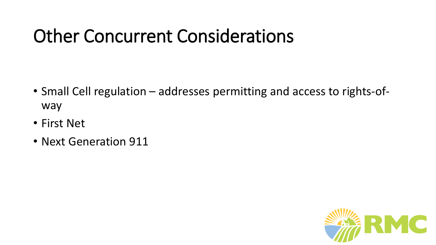#### Other Concurrent Considerations

- Small Cell regulation addresses permitting and access to rights-ofway
- First Net
- Next Generation 911

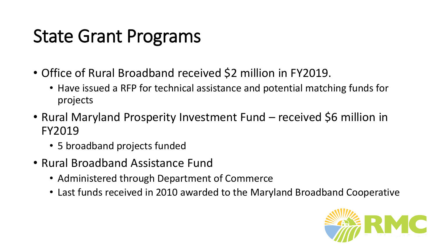#### State Grant Programs

- Office of Rural Broadband received \$2 million in FY2019.
	- Have issued a RFP for technical assistance and potential matching funds for projects
- Rural Maryland Prosperity Investment Fund received \$6 million in FY2019
	- 5 broadband projects funded
- Rural Broadband Assistance Fund
	- Administered through Department of Commerce
	- Last funds received in 2010 awarded to the Maryland Broadband Cooperative

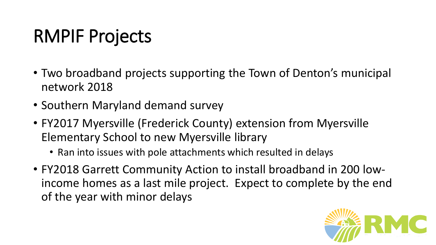## RMPIF Projects

- Two broadband projects supporting the Town of Denton's municipal network 2018
- Southern Maryland demand survey
- FY2017 Myersville (Frederick County) extension from Myersville Elementary School to new Myersville library
	- Ran into issues with pole attachments which resulted in delays
- FY2018 Garrett Community Action to install broadband in 200 lowincome homes as a last mile project. Expect to complete by the end of the year with minor delays